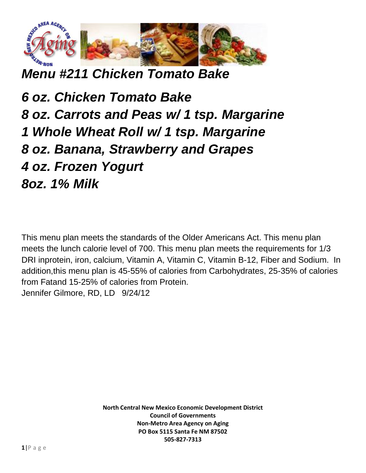

*Menu #211 Chicken Tomato Bake*

*6 oz. Chicken Tomato Bake 8 oz. Carrots and Peas w/ 1 tsp. Margarine 1 Whole Wheat Roll w/ 1 tsp. Margarine 8 oz. Banana, Strawberry and Grapes 4 oz. Frozen Yogurt 8oz. 1% Milk*

This menu plan meets the standards of the Older Americans Act. This menu plan meets the lunch calorie level of 700. This menu plan meets the requirements for 1/3 DRI inprotein, iron, calcium, Vitamin A, Vitamin C, Vitamin B-12, Fiber and Sodium. In addition,this menu plan is 45-55% of calories from Carbohydrates, 25-35% of calories from Fatand 15-25% of calories from Protein. Jennifer Gilmore, RD, LD 9/24/12

> **North Central New Mexico Economic Development District Council of Governments Non-Metro Area Agency on Aging PO Box 5115 Santa Fe NM 87502 505-827-7313**